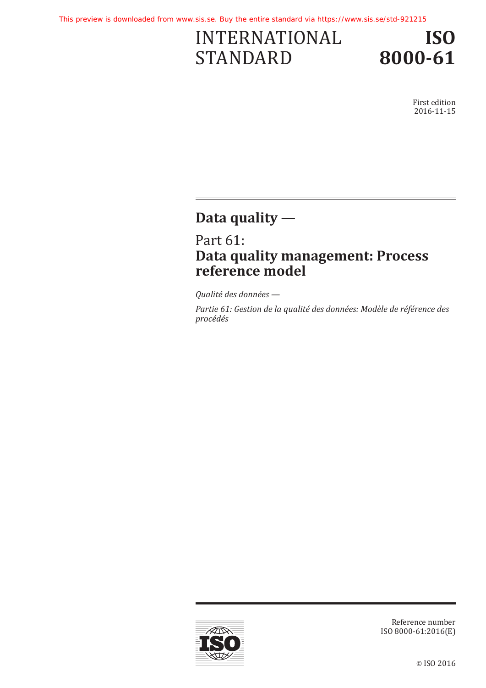# INTERNATIONAL STANDARD



First edition 2016-11-15

# **Data quality —**

Part 61: **Data quality management: Process reference model**

*Qualité des données —*

*Partie 61: Gestion de la qualité des données: Modèle de référence des procédés*



Reference number ISO 8000-61:2016(E)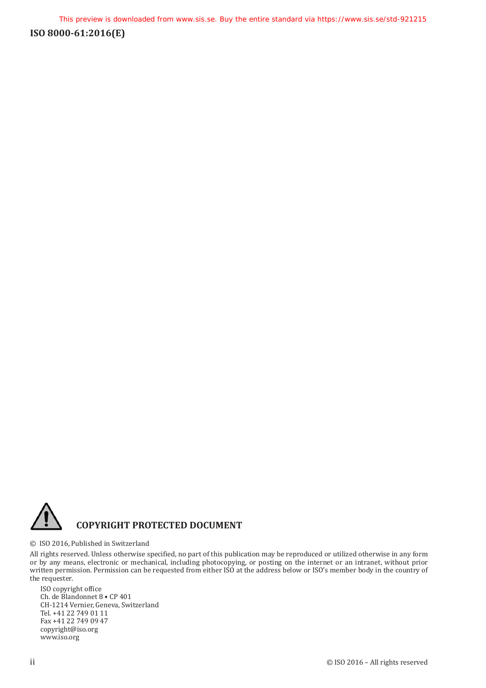

#### © ISO 2016, Published in Switzerland

All rights reserved. Unless otherwise specified, no part of this publication may be reproduced or utilized otherwise in any form or by any means, electronic or mechanical, including photocopying, or posting on the internet or an intranet, without prior written permission. Permission can be requested from either ISO at the address below or ISO's member body in the country of the requester.

ISO copyright office Ch. de Blandonnet 8 • CP 401 CH-1214 Vernier, Geneva, Switzerland Tel. +41 22 749 01 11 Fax +41 22 749 09 47 copyright@iso.org www.iso.org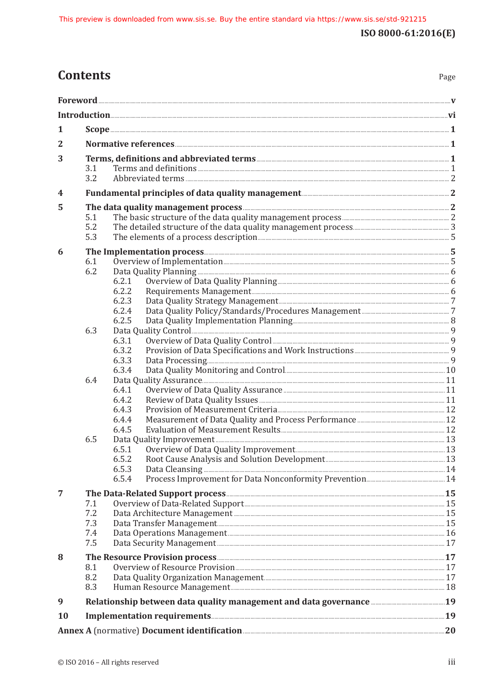## **Contents**

| 1<br>2<br>3<br>3.1<br>3.2<br>Fundamental principles of data quality management [11] The content of the content of the content of the content of the content of the content of the content of the content of the content of the content of the content of th<br>4<br>The data quality management process <b>CONSCRIPTION</b> 2<br>5<br>5.1<br>5.2<br>5.3<br>6<br>6.1<br>6.2<br>6.2.1<br>6.2.2<br>6.2.3<br>6.2.4<br>6.2.5<br>6.3<br>6.3.1<br>6.3.2<br>6.3.3<br>6.3.4<br>6.4<br>6.4.1<br>6.4.2<br>6.4.3<br>6.4.4<br>6.4.5<br>6.5<br>6.5.1<br>6.5.3<br>6.5.4<br>7<br>7.1<br>7.2<br>7.3<br>7.4<br>7.5<br>8<br>8.1<br>8.2<br>8.3<br>9<br><b>10</b><br>Annex A (normative) Document identification <b>Manual Annex A</b> (normative) 20 |  |  |  |  |  |
|----------------------------------------------------------------------------------------------------------------------------------------------------------------------------------------------------------------------------------------------------------------------------------------------------------------------------------------------------------------------------------------------------------------------------------------------------------------------------------------------------------------------------------------------------------------------------------------------------------------------------------------------------------------------------------------------------------------------------------|--|--|--|--|--|
|                                                                                                                                                                                                                                                                                                                                                                                                                                                                                                                                                                                                                                                                                                                                  |  |  |  |  |  |
|                                                                                                                                                                                                                                                                                                                                                                                                                                                                                                                                                                                                                                                                                                                                  |  |  |  |  |  |
|                                                                                                                                                                                                                                                                                                                                                                                                                                                                                                                                                                                                                                                                                                                                  |  |  |  |  |  |
|                                                                                                                                                                                                                                                                                                                                                                                                                                                                                                                                                                                                                                                                                                                                  |  |  |  |  |  |
|                                                                                                                                                                                                                                                                                                                                                                                                                                                                                                                                                                                                                                                                                                                                  |  |  |  |  |  |
|                                                                                                                                                                                                                                                                                                                                                                                                                                                                                                                                                                                                                                                                                                                                  |  |  |  |  |  |
|                                                                                                                                                                                                                                                                                                                                                                                                                                                                                                                                                                                                                                                                                                                                  |  |  |  |  |  |
|                                                                                                                                                                                                                                                                                                                                                                                                                                                                                                                                                                                                                                                                                                                                  |  |  |  |  |  |
|                                                                                                                                                                                                                                                                                                                                                                                                                                                                                                                                                                                                                                                                                                                                  |  |  |  |  |  |
|                                                                                                                                                                                                                                                                                                                                                                                                                                                                                                                                                                                                                                                                                                                                  |  |  |  |  |  |
|                                                                                                                                                                                                                                                                                                                                                                                                                                                                                                                                                                                                                                                                                                                                  |  |  |  |  |  |
|                                                                                                                                                                                                                                                                                                                                                                                                                                                                                                                                                                                                                                                                                                                                  |  |  |  |  |  |
|                                                                                                                                                                                                                                                                                                                                                                                                                                                                                                                                                                                                                                                                                                                                  |  |  |  |  |  |
|                                                                                                                                                                                                                                                                                                                                                                                                                                                                                                                                                                                                                                                                                                                                  |  |  |  |  |  |
|                                                                                                                                                                                                                                                                                                                                                                                                                                                                                                                                                                                                                                                                                                                                  |  |  |  |  |  |
|                                                                                                                                                                                                                                                                                                                                                                                                                                                                                                                                                                                                                                                                                                                                  |  |  |  |  |  |
|                                                                                                                                                                                                                                                                                                                                                                                                                                                                                                                                                                                                                                                                                                                                  |  |  |  |  |  |
|                                                                                                                                                                                                                                                                                                                                                                                                                                                                                                                                                                                                                                                                                                                                  |  |  |  |  |  |
|                                                                                                                                                                                                                                                                                                                                                                                                                                                                                                                                                                                                                                                                                                                                  |  |  |  |  |  |
|                                                                                                                                                                                                                                                                                                                                                                                                                                                                                                                                                                                                                                                                                                                                  |  |  |  |  |  |
|                                                                                                                                                                                                                                                                                                                                                                                                                                                                                                                                                                                                                                                                                                                                  |  |  |  |  |  |
|                                                                                                                                                                                                                                                                                                                                                                                                                                                                                                                                                                                                                                                                                                                                  |  |  |  |  |  |
|                                                                                                                                                                                                                                                                                                                                                                                                                                                                                                                                                                                                                                                                                                                                  |  |  |  |  |  |
|                                                                                                                                                                                                                                                                                                                                                                                                                                                                                                                                                                                                                                                                                                                                  |  |  |  |  |  |
|                                                                                                                                                                                                                                                                                                                                                                                                                                                                                                                                                                                                                                                                                                                                  |  |  |  |  |  |
|                                                                                                                                                                                                                                                                                                                                                                                                                                                                                                                                                                                                                                                                                                                                  |  |  |  |  |  |
|                                                                                                                                                                                                                                                                                                                                                                                                                                                                                                                                                                                                                                                                                                                                  |  |  |  |  |  |
|                                                                                                                                                                                                                                                                                                                                                                                                                                                                                                                                                                                                                                                                                                                                  |  |  |  |  |  |
|                                                                                                                                                                                                                                                                                                                                                                                                                                                                                                                                                                                                                                                                                                                                  |  |  |  |  |  |
|                                                                                                                                                                                                                                                                                                                                                                                                                                                                                                                                                                                                                                                                                                                                  |  |  |  |  |  |
|                                                                                                                                                                                                                                                                                                                                                                                                                                                                                                                                                                                                                                                                                                                                  |  |  |  |  |  |
|                                                                                                                                                                                                                                                                                                                                                                                                                                                                                                                                                                                                                                                                                                                                  |  |  |  |  |  |
|                                                                                                                                                                                                                                                                                                                                                                                                                                                                                                                                                                                                                                                                                                                                  |  |  |  |  |  |
|                                                                                                                                                                                                                                                                                                                                                                                                                                                                                                                                                                                                                                                                                                                                  |  |  |  |  |  |
|                                                                                                                                                                                                                                                                                                                                                                                                                                                                                                                                                                                                                                                                                                                                  |  |  |  |  |  |
|                                                                                                                                                                                                                                                                                                                                                                                                                                                                                                                                                                                                                                                                                                                                  |  |  |  |  |  |
|                                                                                                                                                                                                                                                                                                                                                                                                                                                                                                                                                                                                                                                                                                                                  |  |  |  |  |  |
|                                                                                                                                                                                                                                                                                                                                                                                                                                                                                                                                                                                                                                                                                                                                  |  |  |  |  |  |
|                                                                                                                                                                                                                                                                                                                                                                                                                                                                                                                                                                                                                                                                                                                                  |  |  |  |  |  |
|                                                                                                                                                                                                                                                                                                                                                                                                                                                                                                                                                                                                                                                                                                                                  |  |  |  |  |  |
|                                                                                                                                                                                                                                                                                                                                                                                                                                                                                                                                                                                                                                                                                                                                  |  |  |  |  |  |
|                                                                                                                                                                                                                                                                                                                                                                                                                                                                                                                                                                                                                                                                                                                                  |  |  |  |  |  |
|                                                                                                                                                                                                                                                                                                                                                                                                                                                                                                                                                                                                                                                                                                                                  |  |  |  |  |  |
|                                                                                                                                                                                                                                                                                                                                                                                                                                                                                                                                                                                                                                                                                                                                  |  |  |  |  |  |
|                                                                                                                                                                                                                                                                                                                                                                                                                                                                                                                                                                                                                                                                                                                                  |  |  |  |  |  |
|                                                                                                                                                                                                                                                                                                                                                                                                                                                                                                                                                                                                                                                                                                                                  |  |  |  |  |  |
|                                                                                                                                                                                                                                                                                                                                                                                                                                                                                                                                                                                                                                                                                                                                  |  |  |  |  |  |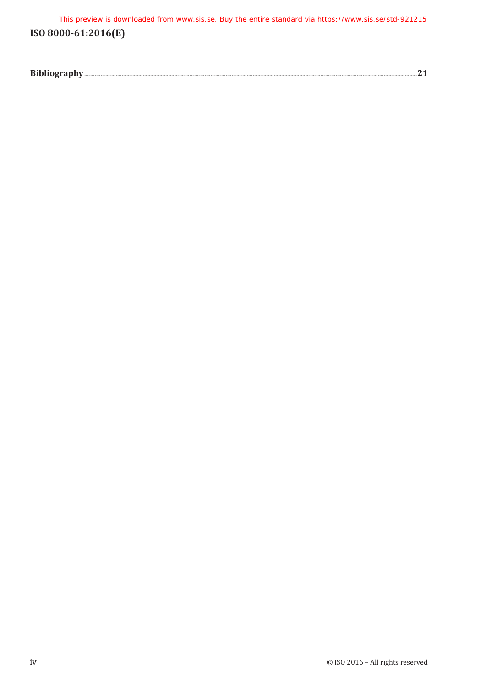This preview is downloaded from www.sis.se. Buy the entire standard via https://www.sis.se/std-921215

### **ISO 8000-61:2016(E)**

| <b>Ribli</b><br>PIVIVY |
|------------------------|
|------------------------|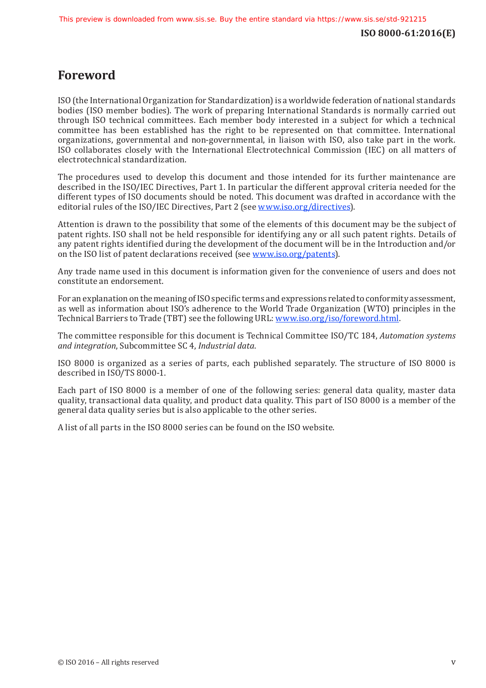### <span id="page-4-0"></span>**Foreword**

ISO (the International Organization for Standardization) is a worldwide federation of national standards bodies (ISO member bodies). The work of preparing International Standards is normally carried out through ISO technical committees. Each member body interested in a subject for which a technical committee has been established has the right to be represented on that committee. International organizations, governmental and non-governmental, in liaison with ISO, also take part in the work. ISO collaborates closely with the International Electrotechnical Commission (IEC) on all matters of electrotechnical standardization.

The procedures used to develop this document and those intended for its further maintenance are described in the ISO/IEC Directives, Part 1. In particular the different approval criteria needed for the different types of ISO documents should be noted. This document was drafted in accordance with the editorial rules of the ISO/IEC Directives, Part 2 (see www.iso.[org/directives](http://www.iso.org/directives)).

Attention is drawn to the possibility that some of the elements of this document may be the subject of patent rights. ISO shall not be held responsible for identifying any or all such patent rights. Details of any patent rights identified during the development of the document will be in the Introduction and/or on the ISO list of patent declarations received (see www.iso.[org/patents](http://www.iso.org/patents)).

Any trade name used in this document is information given for the convenience of users and does not constitute an endorsement.

For an explanation on the meaning of ISO specific terms and expressions related to conformity assessment, as well as information about ISO's adherence to the World Trade Organization (WTO) principles in the Technical Barriers to Trade (TBT) see the following URL: www.iso.[org/iso/foreword.html](http://www.iso.org/iso/foreword.html).

The committee responsible for this document is Technical Committee ISO/TC 184, *Automation systems and integration*, Subcommittee SC 4, *Industrial data*.

ISO 8000 is organized as a series of parts, each published separately. The structure of ISO 8000 is described in ISO/TS 8000-1.

Each part of ISO 8000 is a member of one of the following series: general data quality, master data quality, transactional data quality, and product data quality. This part of ISO 8000 is a member of the general data quality series but is also applicable to the other series.

A list of all parts in the ISO 8000 series can be found on the ISO website.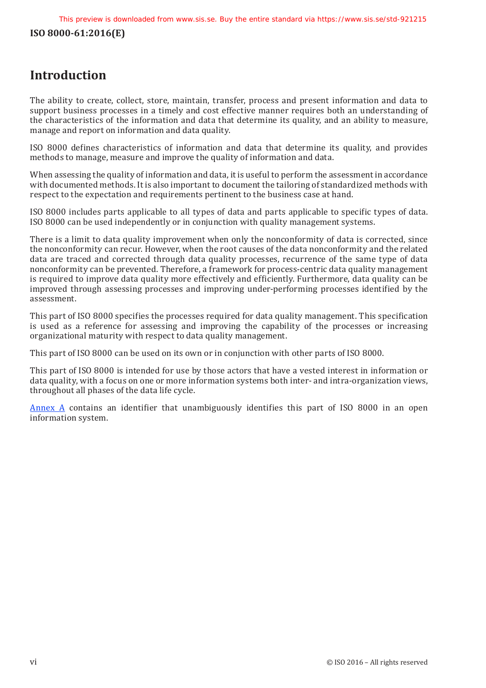## <span id="page-5-0"></span>**Introduction**

The ability to create, collect, store, maintain, transfer, process and present information and data to support business processes in a timely and cost effective manner requires both an understanding of the characteristics of the information and data that determine its quality, and an ability to measure, manage and report on information and data quality.

ISO 8000 defines characteristics of information and data that determine its quality, and provides methods to manage, measure and improve the quality of information and data.

When assessing the quality of information and data, it is useful to perform the assessment in accordance with documented methods. It is also important to document the tailoring of standardized methods with respect to the expectation and requirements pertinent to the business case at hand.

ISO 8000 includes parts applicable to all types of data and parts applicable to specific types of data. ISO 8000 can be used independently or in conjunction with quality management systems.

There is a limit to data quality improvement when only the nonconformity of data is corrected, since the nonconformity can recur. However, when the root causes of the data nonconformity and the related data are traced and corrected through data quality processes, recurrence of the same type of data nonconformity can be prevented. Therefore, a framework for process-centric data quality management is required to improve data quality more effectively and efficiently. Furthermore, data quality can be improved through assessing processes and improving under-performing processes identified by the assessment.

This part of ISO 8000 specifies the processes required for data quality management. This specification is used as a reference for assessing and improving the capability of the processes or increasing organizational maturity with respect to data quality management.

This part of ISO 8000 can be used on its own or in conjunction with other parts of ISO 8000.

This part of ISO 8000 is intended for use by those actors that have a vested interest in information or data quality, with a focus on one or more information systems both inter- and intra-organization views, throughout all phases of the data life cycle.

Annex A contains an identifier that unambiguously identifies this part of ISO 8000 in an open information system.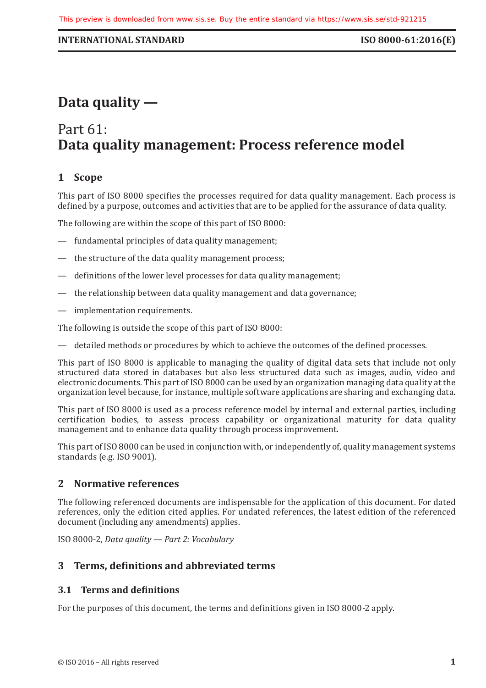#### <span id="page-6-0"></span>**INTERNATIONAL STANDARD ISO 8000-61:2016(E)**

# **Data quality —**

# Part 61: **Data quality management: Process reference model**

### **1 Scope**

This part of ISO 8000 specifies the processes required for data quality management. Each process is defined by a purpose, outcomes and activities that are to be applied for the assurance of data quality.

The following are within the scope of this part of ISO 8000:

- fundamental principles of data quality management;
- the structure of the data quality management process;
- definitions of the lower level processes for data quality management;
- the relationship between data quality management and data governance;
- implementation requirements.

The following is outside the scope of this part of ISO 8000:

— detailed methods or procedures by which to achieve the outcomes of the defined processes.

This part of ISO 8000 is applicable to managing the quality of digital data sets that include not only structured data stored in databases but also less structured data such as images, audio, video and electronic documents. This part of ISO 8000 can be used by an organization managing data quality at the organization level because, for instance, multiple software applications are sharing and exchanging data.

This part of ISO 8000 is used as a process reference model by internal and external parties, including certification bodies, to assess process capability or organizational maturity for data quality management and to enhance data quality through process improvement.

This part of ISO 8000 can be used in conjunction with, or independently of, quality management systems standards (e.g. ISO 9001).

#### **2 Normative references**

The following referenced documents are indispensable for the application of this document. For dated references, only the edition cited applies. For undated references, the latest edition of the referenced document (including any amendments) applies.

ISO 8000-2, *Data quality — Part 2: Vocabulary*

#### **3 Terms, definitions and abbreviated terms**

#### **3.1 Terms and definitions**

For the purposes of this document, the terms and definitions given in ISO 8000-2 apply.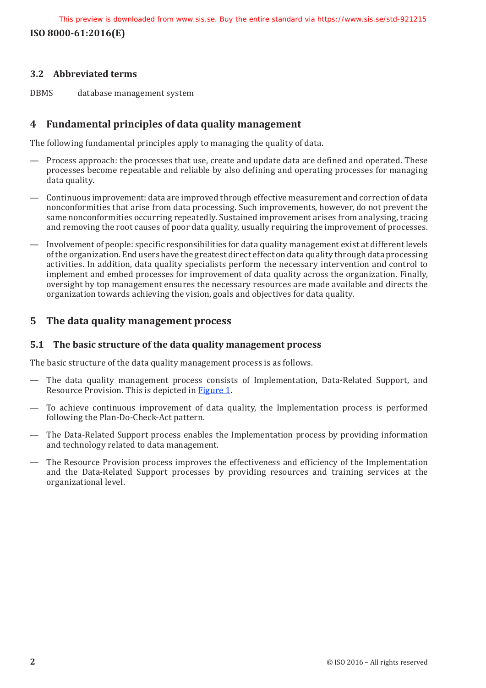This preview is downloaded from www.sis.se. Buy the entire standard via https://www.sis.se/std-921215

<span id="page-7-0"></span>**ISO 8000-61:2016(E)**

#### **3.2 Abbreviated terms**

DBMS database management system

#### **4 Fundamental principles of data quality management**

The following fundamental principles apply to managing the quality of data.

- Process approach: the processes that use, create and update data are defined and operated. These processes become repeatable and reliable by also defining and operating processes for managing data quality.
- Continuous improvement: data are improved through effective measurement and correction of data nonconformities that arise from data processing. Such improvements, however, do not prevent the same nonconformities occurring repeatedly. Sustained improvement arises from analysing, tracing and removing the root causes of poor data quality, usually requiring the improvement of processes.
- Involvement of people: specific responsibilities for data quality management exist at different levels of the organization. End users have the greatest direct effect on data quality through data processing activities. In addition, data quality specialists perform the necessary intervention and control to implement and embed processes for improvement of data quality across the organization. Finally, oversight by top management ensures the necessary resources are made available and directs the organization towards achieving the vision, goals and objectives for data quality.

#### **5 The data quality management process**

#### **5.1 The basic structure of the data quality management process**

The basic structure of the data quality management process is as follows.

- The data quality management process consists of Implementation, Data-Related Support, and Resource Provision. This is depicted in [Figure](#page-8-1) 1.
- To achieve continuous improvement of data quality, the Implementation process is performed following the Plan-Do-Check-Act pattern.
- The Data-Related Support process enables the Implementation process by providing information and technology related to data management.
- The Resource Provision process improves the effectiveness and efficiency of the Implementation and the Data-Related Support processes by providing resources and training services at the organizational level.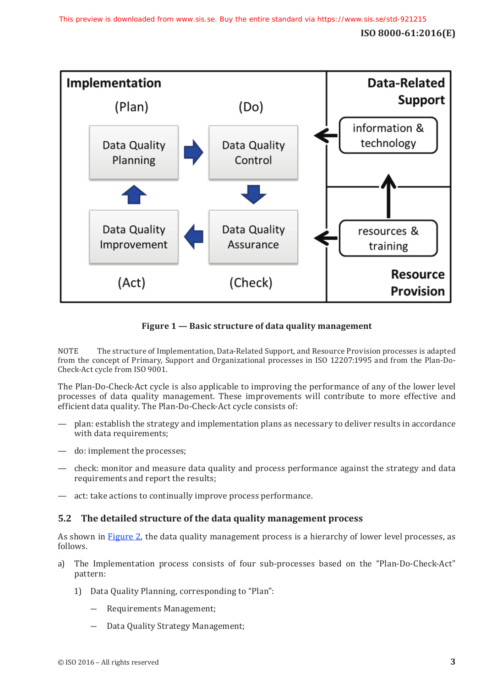<span id="page-8-0"></span>

#### <span id="page-8-1"></span>**Figure 1 — Basic structure of data quality management**

NOTE The structure of Implementation, Data-Related Support, and Resource Provision processes is adapted from the concept of Primary, Support and Organizational processes in ISO 12207:1995 and from the Plan-Do-Check-Act cycle from ISO 9001.

The Plan-Do-Check-Act cycle is also applicable to improving the performance of any of the lower level processes of data quality management. These improvements will contribute to more effective and efficient data quality. The Plan-Do-Check-Act cycle consists of:

- plan: establish the strategy and implementation plans as necessary to deliver results in accordance with data requirements;
- do: implement the processes;
- check: monitor and measure data quality and process performance against the strategy and data requirements and report the results;
- act: take actions to continually improve process performance.

#### **5.2 The detailed structure of the data quality management process**

As shown in [Figure](#page-10-1) 2, the data quality management process is a hierarchy of lower level processes, as follows.

- a) The Implementation process consists of four sub-processes based on the "Plan-Do-Check-Act" pattern:
	- 1) Data Quality Planning, corresponding to "Plan":
		- ― Requirements Management;
		- Data Quality Strategy Management;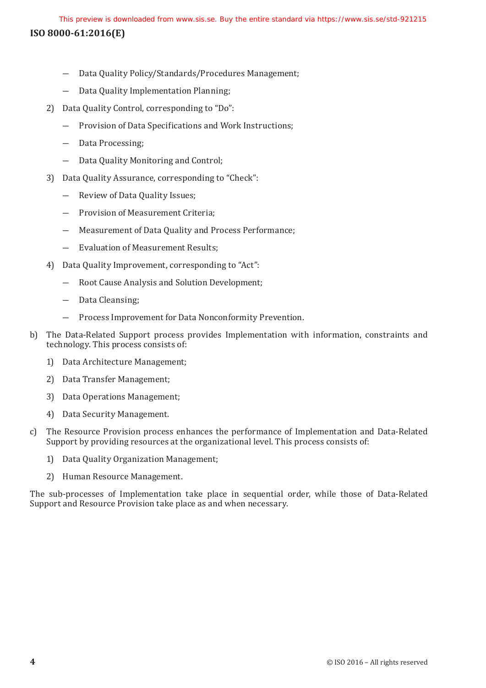- ― Data Quality Policy/Standards/Procedures Management;
- ― Data Quality Implementation Planning;
- 2) Data Quality Control, corresponding to "Do":
	- ― Provision of Data Specifications and Work Instructions;
	- ― Data Processing;
	- ― Data Quality Monitoring and Control;
- 3) Data Quality Assurance, corresponding to "Check":
	- ― Review of Data Quality Issues;
	- ― Provision of Measurement Criteria;
	- ― Measurement of Data Quality and Process Performance;
	- ― Evaluation of Measurement Results;
- 4) Data Quality Improvement, corresponding to "Act":
	- ― Root Cause Analysis and Solution Development;
	- ― Data Cleansing;
	- ― Process Improvement for Data Nonconformity Prevention.
- b) The Data-Related Support process provides Implementation with information, constraints and technology. This process consists of:
	- 1) Data Architecture Management;
	- 2) Data Transfer Management;
	- 3) Data Operations Management;
	- 4) Data Security Management.
- c) The Resource Provision process enhances the performance of Implementation and Data-Related Support by providing resources at the organizational level. This process consists of:
	- 1) Data Quality Organization Management;
	- 2) Human Resource Management.

The sub-processes of Implementation take place in sequential order, while those of Data-Related Support and Resource Provision take place as and when necessary.